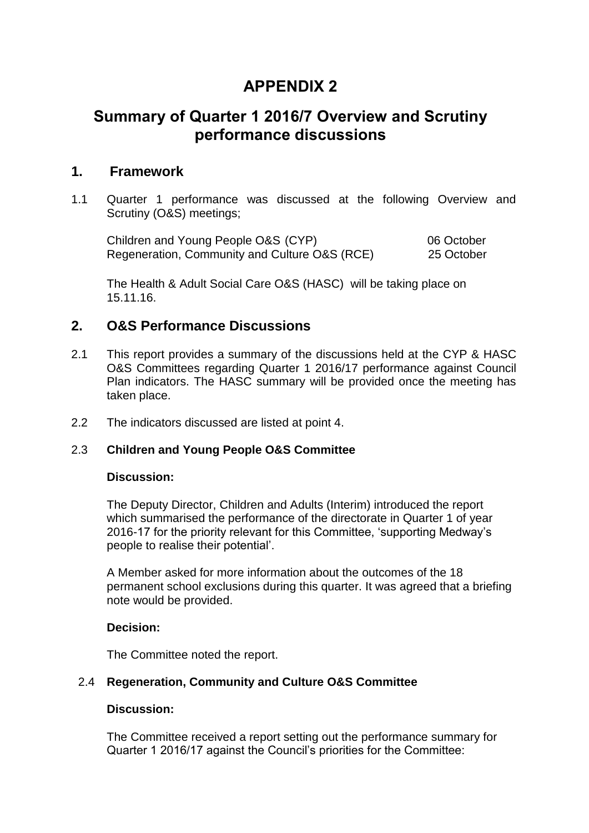# **APPENDIX 2**

# **Summary of Quarter 1 2016/7 Overview and Scrutiny performance discussions**

## **1. Framework**

1.1 Quarter 1 performance was discussed at the following Overview and Scrutiny (O&S) meetings;

Children and Young People O&S (CYP) 06 October Regeneration, Community and Culture O&S (RCE) 25 October

The Health & Adult Social Care O&S (HASC) will be taking place on 15.11.16.

## **2. O&S Performance Discussions**

- 2.1 This report provides a summary of the discussions held at the CYP & HASC O&S Committees regarding Quarter 1 2016/17 performance against Council Plan indicators. The HASC summary will be provided once the meeting has taken place.
- 2.2 The indicators discussed are listed at point 4.

## 2.3 **Children and Young People O&S Committee**

### **Discussion:**

The Deputy Director, Children and Adults (Interim) introduced the report which summarised the performance of the directorate in Quarter 1 of year 2016-17 for the priority relevant for this Committee, 'supporting Medway's people to realise their potential'.

A Member asked for more information about the outcomes of the 18 permanent school exclusions during this quarter. It was agreed that a briefing note would be provided.

## **Decision:**

The Committee noted the report.

## 2.4 **Regeneration, Community and Culture O&S Committee**

## **Discussion:**

The Committee received a report setting out the performance summary for Quarter 1 2016/17 against the Council's priorities for the Committee: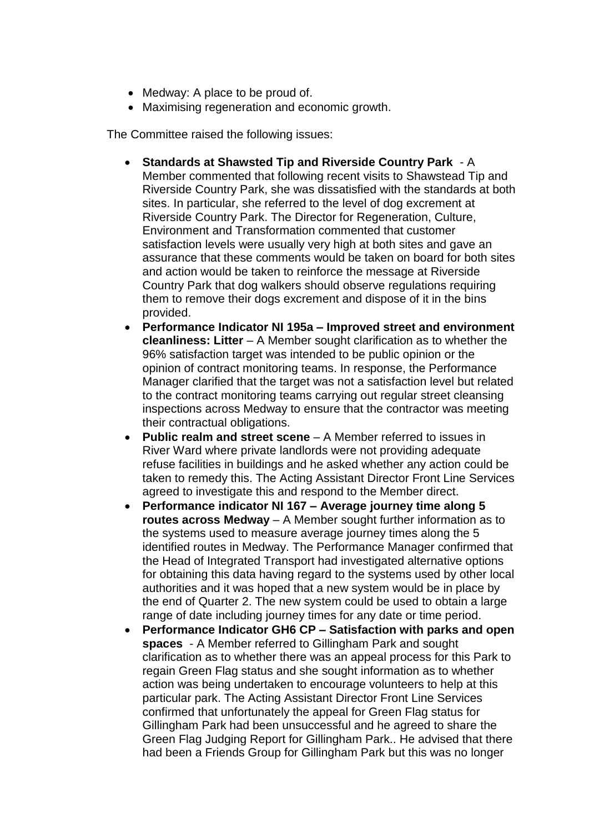- Medway: A place to be proud of.
- Maximising regeneration and economic growth.

The Committee raised the following issues:

- **Standards at Shawsted Tip and Riverside Country Park**  A Member commented that following recent visits to Shawstead Tip and Riverside Country Park, she was dissatisfied with the standards at both sites. In particular, she referred to the level of dog excrement at Riverside Country Park. The Director for Regeneration, Culture, Environment and Transformation commented that customer satisfaction levels were usually very high at both sites and gave an assurance that these comments would be taken on board for both sites and action would be taken to reinforce the message at Riverside Country Park that dog walkers should observe regulations requiring them to remove their dogs excrement and dispose of it in the bins provided.
- **Performance Indicator NI 195a – Improved street and environment cleanliness: Litter** – A Member sought clarification as to whether the 96% satisfaction target was intended to be public opinion or the opinion of contract monitoring teams. In response, the Performance Manager clarified that the target was not a satisfaction level but related to the contract monitoring teams carrying out regular street cleansing inspections across Medway to ensure that the contractor was meeting their contractual obligations.
- **Public realm and street scene** A Member referred to issues in River Ward where private landlords were not providing adequate refuse facilities in buildings and he asked whether any action could be taken to remedy this. The Acting Assistant Director Front Line Services agreed to investigate this and respond to the Member direct.
- **Performance indicator NI 167 – Average journey time along 5 routes across Medway** – A Member sought further information as to the systems used to measure average journey times along the 5 identified routes in Medway. The Performance Manager confirmed that the Head of Integrated Transport had investigated alternative options for obtaining this data having regard to the systems used by other local authorities and it was hoped that a new system would be in place by the end of Quarter 2. The new system could be used to obtain a large range of date including journey times for any date or time period.
- **Performance Indicator GH6 CP – Satisfaction with parks and open spaces** - A Member referred to Gillingham Park and sought clarification as to whether there was an appeal process for this Park to regain Green Flag status and she sought information as to whether action was being undertaken to encourage volunteers to help at this particular park. The Acting Assistant Director Front Line Services confirmed that unfortunately the appeal for Green Flag status for Gillingham Park had been unsuccessful and he agreed to share the Green Flag Judging Report for Gillingham Park.. He advised that there had been a Friends Group for Gillingham Park but this was no longer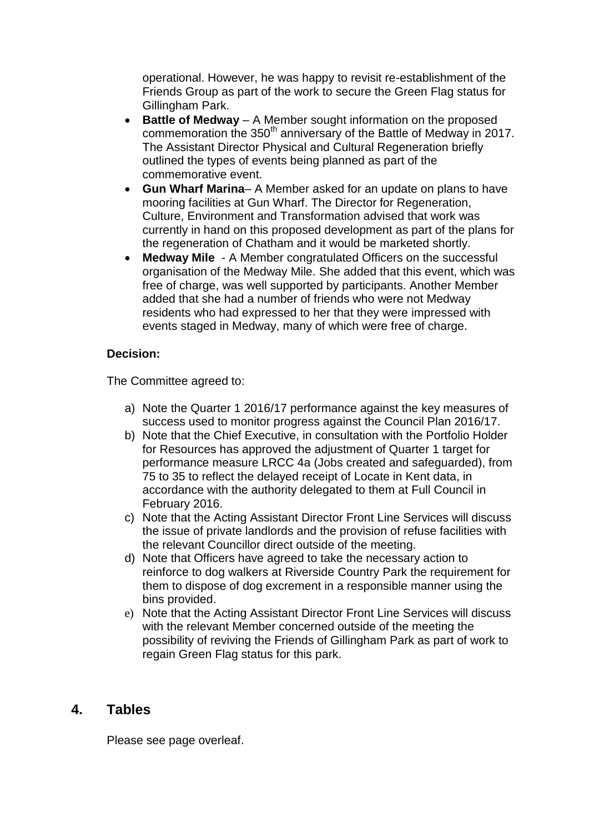operational. However, he was happy to revisit re-establishment of the Friends Group as part of the work to secure the Green Flag status for Gillingham Park.

- **Battle of Medway** A Member sought information on the proposed commemoration the 350<sup>th</sup> anniversary of the Battle of Medway in 2017. The Assistant Director Physical and Cultural Regeneration briefly outlined the types of events being planned as part of the commemorative event.
- **Gun Wharf Marina** A Member asked for an update on plans to have mooring facilities at Gun Wharf. The Director for Regeneration, Culture, Environment and Transformation advised that work was currently in hand on this proposed development as part of the plans for the regeneration of Chatham and it would be marketed shortly.
- **Medway Mile**  A Member congratulated Officers on the successful organisation of the Medway Mile. She added that this event, which was free of charge, was well supported by participants. Another Member added that she had a number of friends who were not Medway residents who had expressed to her that they were impressed with events staged in Medway, many of which were free of charge.

## **Decision:**

The Committee agreed to:

- a) Note the Quarter 1 2016/17 performance against the key measures of success used to monitor progress against the Council Plan 2016/17.
- b) Note that the Chief Executive, in consultation with the Portfolio Holder for Resources has approved the adjustment of Quarter 1 target for performance measure LRCC 4a (Jobs created and safeguarded), from 75 to 35 to reflect the delayed receipt of Locate in Kent data, in accordance with the authority delegated to them at Full Council in February 2016.
- c) Note that the Acting Assistant Director Front Line Services will discuss the issue of private landlords and the provision of refuse facilities with the relevant Councillor direct outside of the meeting.
- d) Note that Officers have agreed to take the necessary action to reinforce to dog walkers at Riverside Country Park the requirement for them to dispose of dog excrement in a responsible manner using the bins provided.
- e) Note that the Acting Assistant Director Front Line Services will discuss with the relevant Member concerned outside of the meeting the possibility of reviving the Friends of Gillingham Park as part of work to regain Green Flag status for this park.

## **4. Tables**

Please see page overleaf.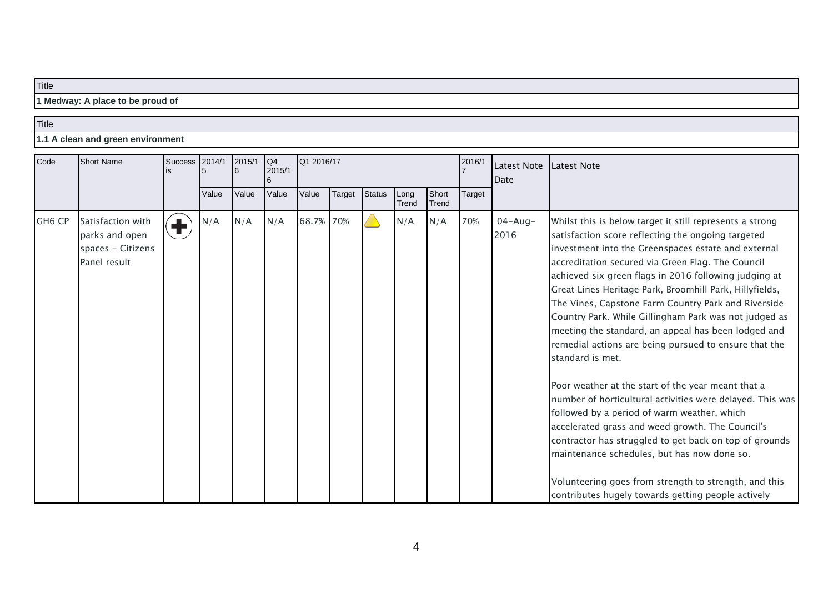**1 Medway: A place to be proud of**

#### **Title**

**1.1 A clean and green environment**

| Code               | <b>Short Name</b>                                                        |                 | 2014/1<br><b>Success</b> | 2015/1 | Q4<br>2015/1 | Q1 2016/17 |        |               |               |                | 2016/1        | Latest Note Latest Note<br>Date |                                                                                                                                                                                                                                                                                                                                                                                                                                                                                                                                                                                                                                                                                                                                                                                                                                                                                                                                   |
|--------------------|--------------------------------------------------------------------------|-----------------|--------------------------|--------|--------------|------------|--------|---------------|---------------|----------------|---------------|---------------------------------|-----------------------------------------------------------------------------------------------------------------------------------------------------------------------------------------------------------------------------------------------------------------------------------------------------------------------------------------------------------------------------------------------------------------------------------------------------------------------------------------------------------------------------------------------------------------------------------------------------------------------------------------------------------------------------------------------------------------------------------------------------------------------------------------------------------------------------------------------------------------------------------------------------------------------------------|
|                    |                                                                          |                 | Value                    | Value  | Value        | Value      | Target | <b>Status</b> | Long<br>Trend | Short<br>Trend | <b>Target</b> |                                 |                                                                                                                                                                                                                                                                                                                                                                                                                                                                                                                                                                                                                                                                                                                                                                                                                                                                                                                                   |
| GH <sub>6</sub> CP | Satisfaction with<br>parks and open<br>spaces - Citizens<br>Panel result | $\blacklozenge$ | N/A                      | N/A    | N/A          | 68.7% 70%  |        |               | N/A           | N/A            | 70%           | $04 - Aug -$<br>2016            | Whilst this is below target it still represents a strong<br>satisfaction score reflecting the ongoing targeted<br>investment into the Greenspaces estate and external<br>accreditation secured via Green Flag. The Council<br>achieved six green flags in 2016 following judging at<br>Great Lines Heritage Park, Broomhill Park, Hillyfields,<br>The Vines, Capstone Farm Country Park and Riverside<br>Country Park. While Gillingham Park was not judged as<br>meeting the standard, an appeal has been lodged and<br>remedial actions are being pursued to ensure that the<br>standard is met.<br>Poor weather at the start of the year meant that a<br>number of horticultural activities were delayed. This was<br>followed by a period of warm weather, which<br>accelerated grass and weed growth. The Council's<br>contractor has struggled to get back on top of grounds<br>maintenance schedules, but has now done so. |
|                    |                                                                          |                 |                          |        |              |            |        |               |               |                |               |                                 | Volunteering goes from strength to strength, and this<br>contributes hugely towards getting people actively                                                                                                                                                                                                                                                                                                                                                                                                                                                                                                                                                                                                                                                                                                                                                                                                                       |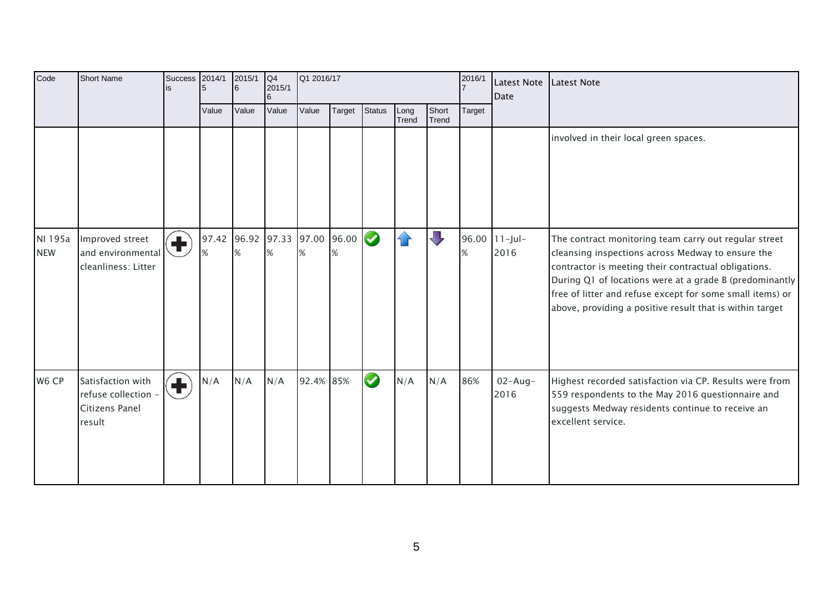| Code                  | <b>Short Name</b>                                                    | Success                       | 2014/1 | 2015/1<br>6 | Q4<br>2015/1 | Q1 2016/17                         |        |               |               |                | 2016/1 | <b>Latest Note</b><br>Date | Latest Note                                                                                                                                                                                                                                                                                                                                            |
|-----------------------|----------------------------------------------------------------------|-------------------------------|--------|-------------|--------------|------------------------------------|--------|---------------|---------------|----------------|--------|----------------------------|--------------------------------------------------------------------------------------------------------------------------------------------------------------------------------------------------------------------------------------------------------------------------------------------------------------------------------------------------------|
|                       |                                                                      |                               | Value  | Value       | Value        | Value                              | Target | <b>Status</b> | Long<br>Trend | Short<br>Trend | Target |                            |                                                                                                                                                                                                                                                                                                                                                        |
|                       |                                                                      |                               |        |             |              |                                    |        |               |               |                |        |                            | involved in their local green spaces.                                                                                                                                                                                                                                                                                                                  |
| NI 195a<br><b>NEW</b> | Improved street<br>and environmental<br>cleanliness: Litter          | $\left( \mathbf{+}\right)$    |        | %           |              | 97.42 96.92 97.33 97.00 96.00<br>% | %      | $\bullet$     | $\mathcal{A}$ | $\Box$         | %      | 96.00 11-Jul-<br>2016      | The contract monitoring team carry out regular street<br>cleansing inspections across Medway to ensure the<br>contractor is meeting their contractual obligations.<br>During Q1 of locations were at a grade B (predominantly<br>free of litter and refuse except for some small items) or<br>above, providing a positive result that is within target |
| W6 CP                 | Satisfaction with<br>refuse collection -<br>Citizens Panel<br>result | $\left( \blacksquare \right)$ | N/A    | N/A         | N/A          | 92.4% 85%                          |        | $\bullet$     | N/A           | N/A            | 86%    | $02 - Aug -$<br>2016       | Highest recorded satisfaction via CP. Results were from<br>559 respondents to the May 2016 questionnaire and<br>suggests Medway residents continue to receive an<br>excellent service.                                                                                                                                                                 |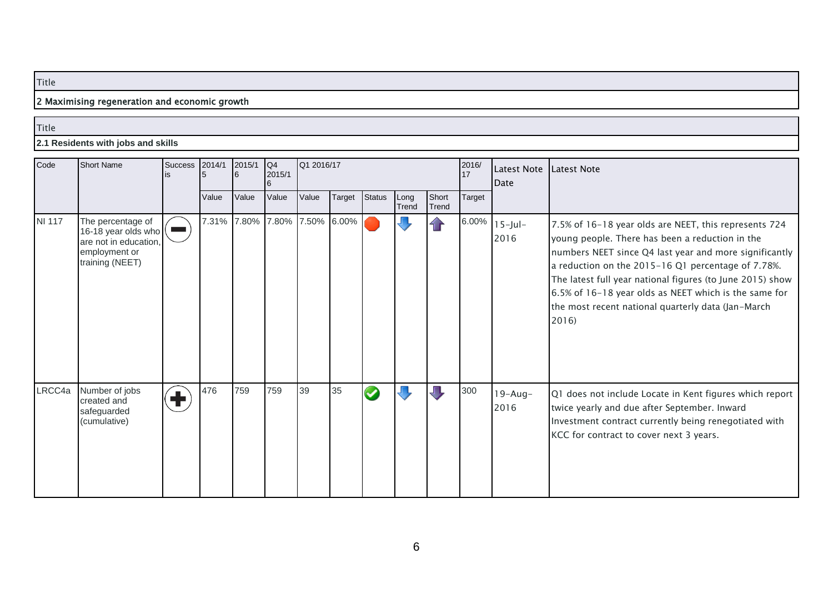## 2 Maximising regeneration and economic growth

#### Title

#### **2.1 Residents with jobs and skills**

| Code          | <b>Short Name</b>                                                                                     | <b>Success</b> | 2014/1 | 2015/1 | Q4<br>2015/1 | Q1 2016/17        |        |                      |               |                | 2016/<br>17 | <b>Latest Note</b><br><b>Date</b> | Latest Note                                                                                                                                                                                                                                                                                                                                                                                                  |
|---------------|-------------------------------------------------------------------------------------------------------|----------------|--------|--------|--------------|-------------------|--------|----------------------|---------------|----------------|-------------|-----------------------------------|--------------------------------------------------------------------------------------------------------------------------------------------------------------------------------------------------------------------------------------------------------------------------------------------------------------------------------------------------------------------------------------------------------------|
|               |                                                                                                       |                | Value  | Value  | Value        | Value             | Target | <b>Status</b>        | Long<br>Trend | Short<br>Trend | Target      |                                   |                                                                                                                                                                                                                                                                                                                                                                                                              |
| <b>NI 117</b> | The percentage of<br>16-18 year olds who<br>are not in education,<br>employment or<br>training (NEET) |                | 7.31%  | 7.80%  |              | 7.80% 7.50% 6.00% |        |                      |               |                | 6.00%       | $15$ -Jul-<br>2016                | 7.5% of 16-18 year olds are NEET, this represents 724<br>young people. There has been a reduction in the<br>numbers NEET since Q4 last year and more significantly<br>a reduction on the 2015-16 Q1 percentage of 7.78%.<br>The latest full year national figures (to June 2015) show<br>6.5% of 16-18 year olds as NEET which is the same for<br>the most recent national quarterly data (Jan-March<br>2016 |
| LRCC4a        | Number of jobs<br>created and<br>safeguarded<br>(cumulative)                                          | ╋              | 476    | 759    | 759          | 39                | 35     | $\blacktriangledown$ |               |                | 300         | $19 - Aug -$<br>2016              | Q1 does not include Locate in Kent figures which report<br>twice yearly and due after September. Inward<br>Investment contract currently being renegotiated with<br>KCC for contract to cover next 3 years.                                                                                                                                                                                                  |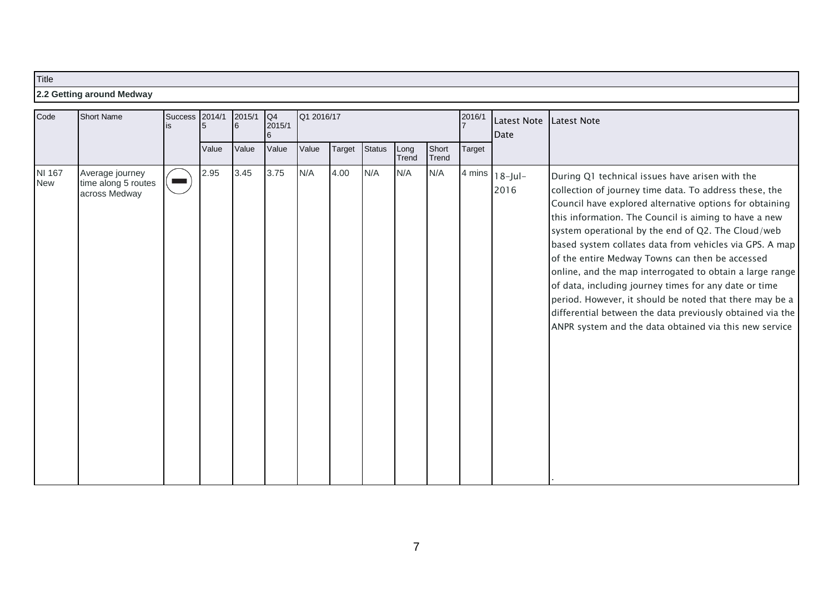## **2.2 Getting around Medway**

| Code                 | <b>Short Name</b>                                       |  | 2014/1 | 2015/1<br>Value | Q4<br>2015/1 | Q1 2016/17 |        |               |               |                | 2016/1 | Latest Note<br>Date                 | Latest Note                                                                                                                                                                                                                                                                                                                                                                                                                                                                                                                                                                                                                                                                                              |
|----------------------|---------------------------------------------------------|--|--------|-----------------|--------------|------------|--------|---------------|---------------|----------------|--------|-------------------------------------|----------------------------------------------------------------------------------------------------------------------------------------------------------------------------------------------------------------------------------------------------------------------------------------------------------------------------------------------------------------------------------------------------------------------------------------------------------------------------------------------------------------------------------------------------------------------------------------------------------------------------------------------------------------------------------------------------------|
|                      |                                                         |  | Value  |                 | Value        | Value      | Target | <b>Status</b> | Long<br>Trend | Short<br>Trend | Target |                                     |                                                                                                                                                                                                                                                                                                                                                                                                                                                                                                                                                                                                                                                                                                          |
| NI 167<br><b>New</b> | Average journey<br>time along 5 routes<br>across Medway |  | 2.95   | 3.45            | 3.75         | N/A        | 4.00   | N/A           | N/A           | N/A            |        | 4 mins $ 18 - \text{Jul} -$<br>2016 | During Q1 technical issues have arisen with the<br>collection of journey time data. To address these, the<br>Council have explored alternative options for obtaining<br>this information. The Council is aiming to have a new<br>system operational by the end of Q2. The Cloud/web<br>based system collates data from vehicles via GPS. A map<br>of the entire Medway Towns can then be accessed<br>online, and the map interrogated to obtain a large range<br>of data, including journey times for any date or time<br>period. However, it should be noted that there may be a<br>differential between the data previously obtained via the<br>ANPR system and the data obtained via this new service |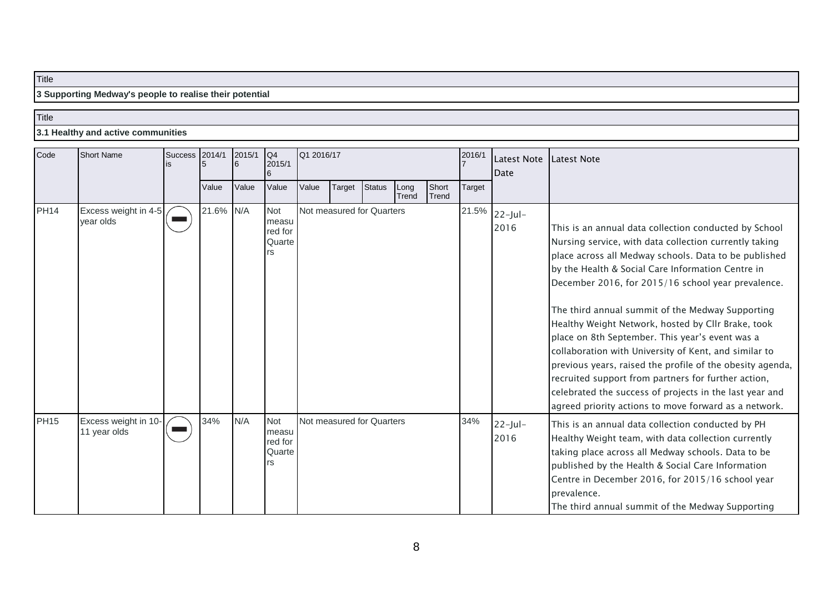**3 Supporting Medway's people to realise their potential**

### **Title**

**3.1 Healthy and active communities**

| Code        | <b>Short Name</b>                    | Success | 2014/1    | 2015/1 | Q4<br>2015/1                            | Q1 2016/17 |                           |               |               |                | 2016/1 | Latest Note<br><b>Date</b> | Latest Note                                                                                                                                                                                                                                                                                                                                                                                                                                                                                                                                                                                                                                                                                                                                       |
|-------------|--------------------------------------|---------|-----------|--------|-----------------------------------------|------------|---------------------------|---------------|---------------|----------------|--------|----------------------------|---------------------------------------------------------------------------------------------------------------------------------------------------------------------------------------------------------------------------------------------------------------------------------------------------------------------------------------------------------------------------------------------------------------------------------------------------------------------------------------------------------------------------------------------------------------------------------------------------------------------------------------------------------------------------------------------------------------------------------------------------|
|             |                                      |         | Value     | Value  | Value                                   | Value      | <b>Target</b>             | <b>Status</b> | Long<br>Trend | Short<br>Trend | Target |                            |                                                                                                                                                                                                                                                                                                                                                                                                                                                                                                                                                                                                                                                                                                                                                   |
| <b>PH14</b> | Excess weight in 4-5<br>year olds    |         | 21.6% N/A |        | Not<br>measu<br>red for<br>Quarte<br>rs |            | Not measured for Quarters |               |               |                | 21.5%  | $22$ -Jul-<br>2016         | This is an annual data collection conducted by School<br>Nursing service, with data collection currently taking<br>place across all Medway schools. Data to be published<br>by the Health & Social Care Information Centre in<br>December 2016, for 2015/16 school year prevalence.<br>The third annual summit of the Medway Supporting<br>Healthy Weight Network, hosted by Cllr Brake, took<br>place on 8th September. This year's event was a<br>collaboration with University of Kent, and similar to<br>previous years, raised the profile of the obesity agenda,<br>recruited support from partners for further action,<br>celebrated the success of projects in the last year and<br>agreed priority actions to move forward as a network. |
| <b>PH15</b> | Excess weight in 10-<br>11 year olds |         | 34%       | N/A    | Not<br>measu<br>red for<br>Quarte<br>rs |            | Not measured for Quarters |               |               |                | 34%    | $22$ -Jul-<br>2016         | This is an annual data collection conducted by PH<br>Healthy Weight team, with data collection currently<br>taking place across all Medway schools. Data to be<br>published by the Health & Social Care Information<br>Centre in December 2016, for 2015/16 school year<br>prevalence.<br>The third annual summit of the Medway Supporting                                                                                                                                                                                                                                                                                                                                                                                                        |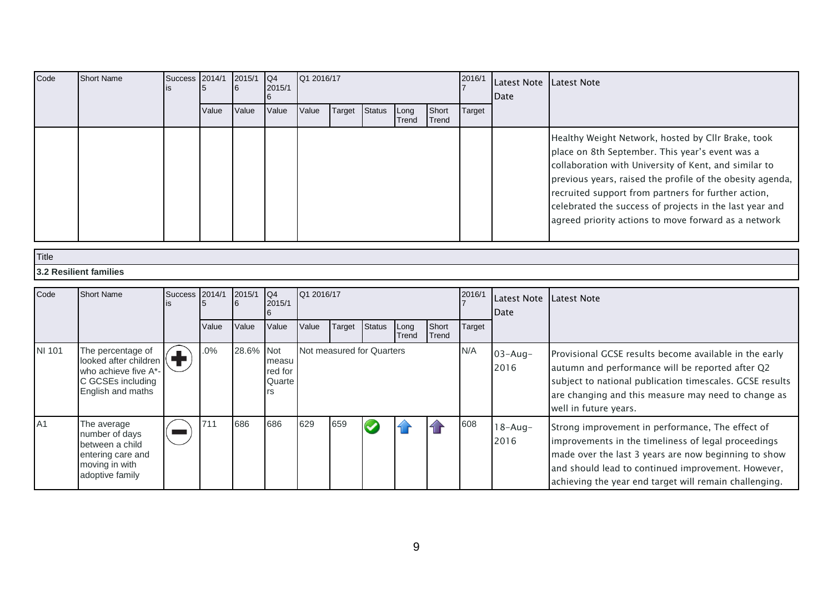| Code   | <b>Short Name</b>                                                                                            | <b>Success</b>                                          | 2014/1 | 2015/1      | Q4<br>2015/1                            | Q1 2016/17 |                           |               |               |                | 2016/1        | Latest Note   Latest Note<br>Date |                                                                                                                                                                                                                                                                                                                                                                                                       |
|--------|--------------------------------------------------------------------------------------------------------------|---------------------------------------------------------|--------|-------------|-----------------------------------------|------------|---------------------------|---------------|---------------|----------------|---------------|-----------------------------------|-------------------------------------------------------------------------------------------------------------------------------------------------------------------------------------------------------------------------------------------------------------------------------------------------------------------------------------------------------------------------------------------------------|
|        |                                                                                                              |                                                         | Value  | Value       | Value                                   | Value      | Target                    | <b>Status</b> | Long<br>Trend | Short<br>Trend | <b>Target</b> |                                   |                                                                                                                                                                                                                                                                                                                                                                                                       |
|        |                                                                                                              |                                                         |        |             |                                         |            |                           |               |               |                |               |                                   | Healthy Weight Network, hosted by Cllr Brake, took<br>place on 8th September. This year's event was a<br>collaboration with University of Kent, and similar to<br>previous years, raised the profile of the obesity agenda,<br>recruited support from partners for further action,<br>celebrated the success of projects in the last year and<br>agreed priority actions to move forward as a network |
| Title  |                                                                                                              |                                                         |        |             |                                         |            |                           |               |               |                |               |                                   |                                                                                                                                                                                                                                                                                                                                                                                                       |
|        | <b>3.2 Resilient families</b>                                                                                |                                                         |        |             |                                         |            |                           |               |               |                |               |                                   |                                                                                                                                                                                                                                                                                                                                                                                                       |
|        |                                                                                                              |                                                         |        |             |                                         |            |                           |               |               |                |               |                                   |                                                                                                                                                                                                                                                                                                                                                                                                       |
| Code   | <b>Short Name</b>                                                                                            | <b>Success</b>                                          | 2014/1 | 2015/1<br>6 | Q4<br>2015/1                            | Q1 2016/17 |                           |               |               |                | 2016/1        | Latest Note<br>Date               | Latest Note                                                                                                                                                                                                                                                                                                                                                                                           |
|        |                                                                                                              |                                                         | Value  | Value       | Value                                   | Value      | Target                    | Status        | Long<br>Trend | Short<br>Trend | Target        |                                   |                                                                                                                                                                                                                                                                                                                                                                                                       |
| NI 101 | The percentage of<br>looked after children<br>who achieve five A*-<br>C GCSEs including<br>English and maths | $\left( \begin{matrix} \textbf{1} \end{matrix} \right)$ | .0%    | 28.6%       | Not<br>measu<br>red for<br>Quarte<br>rs |            | Not measured for Quarters |               |               |                | N/A           | $03 - Aug -$<br>2016              | Provisional GCSE results become available in the early<br>autumn and performance will be reported after Q2<br>subject to national publication timescales. GCSE results<br>are changing and this measure may need to change as<br>well in future years.                                                                                                                                                |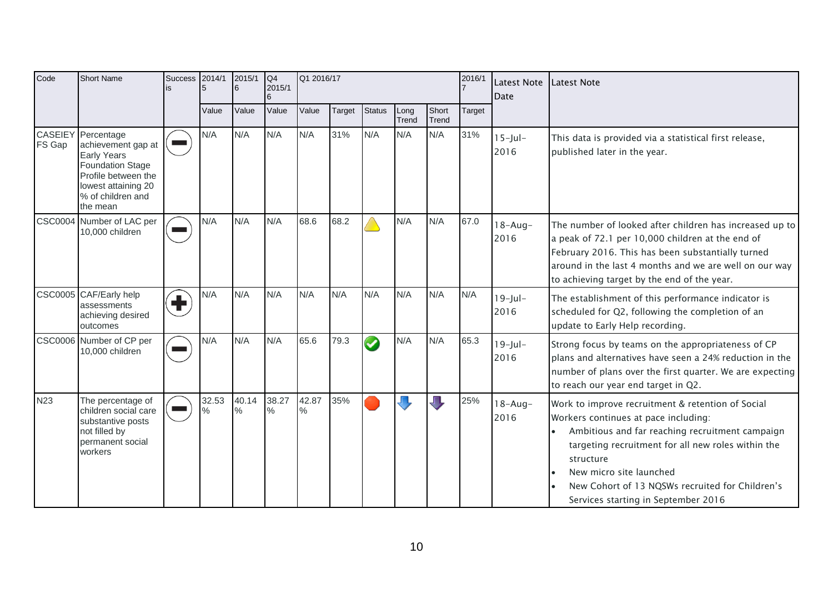| Code       | <b>Short Name</b>                                                                                                                                                               | <b>Success</b>  | 2014/1<br>5 | 2015/1<br>6   | Q4<br>Q1 2016/17<br>2016/1<br>2015/1 |                        | Latest Note<br>Date | <b>Latest Note</b> |               |                |        |                      |                                                                                                                                                                                                                                                                                                                                      |
|------------|---------------------------------------------------------------------------------------------------------------------------------------------------------------------------------|-----------------|-------------|---------------|--------------------------------------|------------------------|---------------------|--------------------|---------------|----------------|--------|----------------------|--------------------------------------------------------------------------------------------------------------------------------------------------------------------------------------------------------------------------------------------------------------------------------------------------------------------------------------|
|            |                                                                                                                                                                                 |                 | Value       | Value         | Value                                | Value                  | Target              | <b>Status</b>      | Long<br>Trend | Short<br>Trend | Target |                      |                                                                                                                                                                                                                                                                                                                                      |
| FS Gap     | <b>CASEIEY</b> Percentage<br>achievement gap at<br><b>Early Years</b><br><b>Foundation Stage</b><br>Profile between the<br>lowest attaining 20<br>% of children and<br>the mean |                 | N/A         | N/A           | N/A                                  | N/A                    | 31%                 | N/A                | N/A           | N/A            | 31%    | $15$ -Jul-<br>2016   | This data is provided via a statistical first release,<br>published later in the year.                                                                                                                                                                                                                                               |
|            | CSC0004 Number of LAC per<br>10,000 children                                                                                                                                    |                 | N/A         | N/A           | N/A                                  | 68.6                   | 68.2                |                    | N/A           | N/A            | 67.0   | $18 - Aug -$<br>2016 | The number of looked after children has increased up to<br>a peak of 72.1 per 10,000 children at the end of<br>February 2016. This has been substantially turned<br>around in the last 4 months and we are well on our way<br>to achieving target by the end of the year.                                                            |
|            | CSC0005 CAF/Early help<br>assessments<br>achieving desired<br>outcomes                                                                                                          | $\blacklozenge$ | N/A         | N/A           | N/A                                  | N/A                    | N/A                 | N/A                | N/A           | N/A            | N/A    | $19$ -Jul-<br>2016   | The establishment of this performance indicator is<br>scheduled for Q2, following the completion of an<br>update to Early Help recording.                                                                                                                                                                                            |
|            | CSC0006 Number of CP per<br>10,000 children                                                                                                                                     |                 | N/A         | N/A           | N/A                                  | 65.6                   | 79.3                | $\bullet$          | N/A           | N/A            | 65.3   | $19$ -Jul-<br>2016   | Strong focus by teams on the appropriateness of CP<br>plans and alternatives have seen a 24% reduction in the<br>number of plans over the first quarter. We are expecting<br>to reach our year end target in Q2.                                                                                                                     |
| <b>N23</b> | The percentage of<br>children social care<br>substantive posts<br>not filled by<br>permanent social<br>workers                                                                  | <b>Contract</b> | 32.53<br>℅  | 40.14<br>$\%$ | 38.27<br>$\%$                        | 42.87<br>$\frac{0}{0}$ | 35%                 |                    |               | Л,             | 25%    | $18 - Aug -$<br>2016 | Work to improve recruitment & retention of Social<br>Workers continues at pace including:<br>Ambitious and far reaching recruitment campaign<br>targeting recruitment for all new roles within the<br>structure<br>New micro site launched<br>New Cohort of 13 NQSWs recruited for Children's<br>Services starting in September 2016 |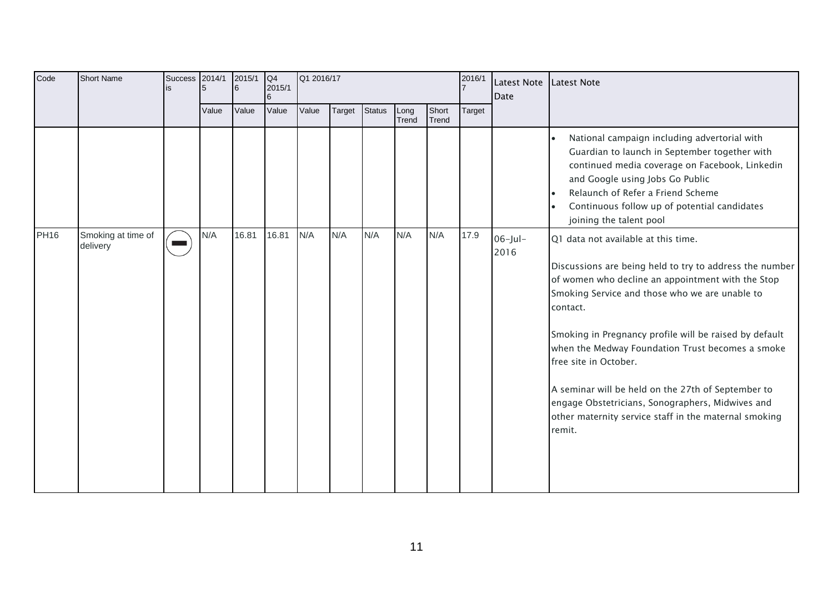| Code        | <b>Short Name</b>              | Success | 2014/1 | 2015/1<br>6 | Q4<br>2015/1 | Q1 2016/17 |        |               | 2016/1        | Latest Note<br>Date | Latest Note |                    |                                                                                                                                                                                                                                                                                                                                                                                                                                                                                                                                       |
|-------------|--------------------------------|---------|--------|-------------|--------------|------------|--------|---------------|---------------|---------------------|-------------|--------------------|---------------------------------------------------------------------------------------------------------------------------------------------------------------------------------------------------------------------------------------------------------------------------------------------------------------------------------------------------------------------------------------------------------------------------------------------------------------------------------------------------------------------------------------|
|             |                                |         | Value  | Value       | Value        | Value      | Target | <b>Status</b> | Long<br>Trend | Short<br>Trend      | Target      |                    |                                                                                                                                                                                                                                                                                                                                                                                                                                                                                                                                       |
|             |                                |         |        |             |              |            |        |               |               |                     |             |                    | National campaign including advertorial with<br>Guardian to launch in September together with<br>continued media coverage on Facebook, Linkedin<br>and Google using Jobs Go Public<br>Relaunch of Refer a Friend Scheme<br>Continuous follow up of potential candidates<br>joining the talent pool                                                                                                                                                                                                                                    |
| <b>PH16</b> | Smoking at time of<br>delivery |         | N/A    | 16.81       | 16.81        | N/A        | N/A    | N/A           | N/A           | N/A                 | 17.9        | $06$ -Jul-<br>2016 | Q1 data not available at this time.<br>Discussions are being held to try to address the number<br>of women who decline an appointment with the Stop<br>Smoking Service and those who we are unable to<br>contact.<br>Smoking in Pregnancy profile will be raised by default<br>when the Medway Foundation Trust becomes a smoke<br>free site in October.<br>A seminar will be held on the 27th of September to<br>engage Obstetricians, Sonographers, Midwives and<br>other maternity service staff in the maternal smoking<br>remit. |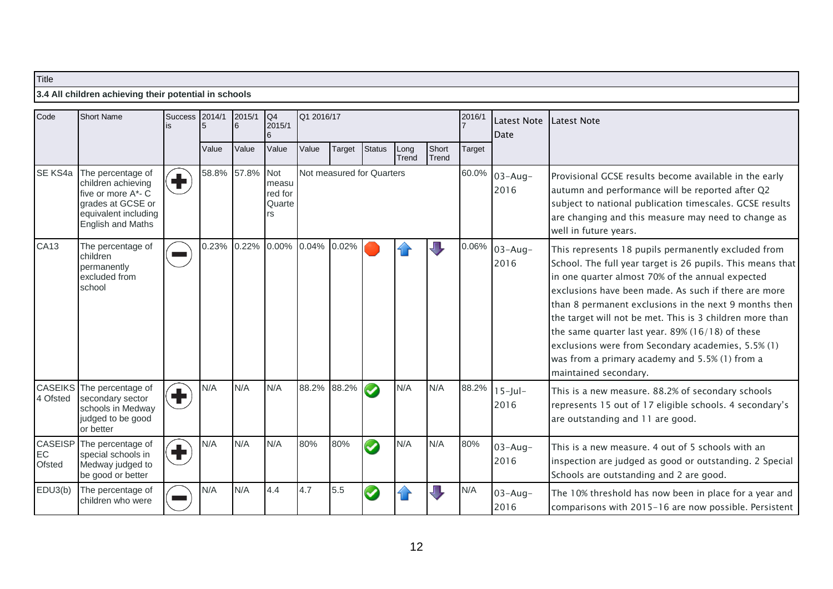## **3.4 All children achieving their potential in schools**

| Code                           | <b>Short Name</b>                                                                                                               | <b>Success</b><br>is                                                     | 2014/1 | 2015/1<br>6 | Q4<br>2015/1                            | Q1 2016/17                |        |                      |               |                | 2016/1 | Latest Note<br>Date  | <b>Latest Note</b>                                                                                                                                                                                                                                                                                                                                                                                                                                                                                                                         |
|--------------------------------|---------------------------------------------------------------------------------------------------------------------------------|--------------------------------------------------------------------------|--------|-------------|-----------------------------------------|---------------------------|--------|----------------------|---------------|----------------|--------|----------------------|--------------------------------------------------------------------------------------------------------------------------------------------------------------------------------------------------------------------------------------------------------------------------------------------------------------------------------------------------------------------------------------------------------------------------------------------------------------------------------------------------------------------------------------------|
|                                |                                                                                                                                 |                                                                          | Value  | Value       | Value                                   | Value                     | Target | <b>Status</b>        | Long<br>Trend | Short<br>Trend | Target |                      |                                                                                                                                                                                                                                                                                                                                                                                                                                                                                                                                            |
| SE KS4a                        | The percentage of<br>children achieving<br>five or more A*- C<br>grades at GCSE or<br>equivalent including<br>English and Maths | $\left( \blacksquare \right)$                                            | 58.8%  | 57.8%       | Not<br>measu<br>red for<br>Quarte<br>rs | Not measured for Quarters |        |                      |               |                | 60.0%  | $03 - Aug -$<br>2016 | Provisional GCSE results become available in the early<br>autumn and performance will be reported after Q2<br>subject to national publication timescales. GCSE results<br>are changing and this measure may need to change as<br>well in future years.                                                                                                                                                                                                                                                                                     |
| CA13                           | The percentage of<br>children<br>permanently<br>excluded from<br>school                                                         |                                                                          | 0.23%  | 0.22%       | 0.00%                                   | 0.04% 0.02%               |        |                      |               |                | 0.06%  | $03 - Aug-$<br>2016  | This represents 18 pupils permanently excluded from<br>School. The full year target is 26 pupils. This means that<br>in one quarter almost 70% of the annual expected<br>exclusions have been made. As such if there are more<br>than 8 permanent exclusions in the next 9 months then<br>the target will not be met. This is 3 children more than<br>the same quarter last year. $89\%$ (16/18) of these<br>exclusions were from Secondary academies, 5.5% (1)<br>was from a primary academy and 5.5% (1) from a<br>maintained secondary. |
| <b>CASEIKS</b><br>4 Ofsted     | The percentage of<br>secondary sector<br>schools in Medway<br>judged to be good<br>or better                                    | $\left( \begin{matrix} \blacksquare \ \blacksquare \end{matrix} \right)$ | N/A    | N/A         | N/A                                     | 88.2% 88.2%               |        | $\sim$               | N/A           | N/A            | 88.2%  | $15$ -Jul-<br>2016   | This is a new measure. 88.2% of secondary schools<br>represents 15 out of 17 eligible schools. 4 secondary's<br>are outstanding and 11 are good.                                                                                                                                                                                                                                                                                                                                                                                           |
| <b>CASEISP</b><br>EC<br>Ofsted | The percentage of<br>special schools in<br>Medway judged to<br>be good or better                                                | $\left( \begin{matrix} \blacksquare \ \blacksquare \end{matrix} \right)$ | N/A    | N/A         | N/A                                     | 80%                       | 80%    | $\blacktriangledown$ | N/A           | N/A            | 80%    | $03 - Aug -$<br>2016 | This is a new measure. 4 out of 5 schools with an<br>inspection are judged as good or outstanding. 2 Special<br>Schools are outstanding and 2 are good.                                                                                                                                                                                                                                                                                                                                                                                    |
| EDU3(b)                        | The percentage of<br>children who were                                                                                          |                                                                          | N/A    | N/A         | 4.4                                     | 4.7                       | 5.5    | ✓                    |               | Л,             | N/A    | $03 - Aug -$<br>2016 | The 10% threshold has now been in place for a year and<br>comparisons with 2015-16 are now possible. Persistent                                                                                                                                                                                                                                                                                                                                                                                                                            |